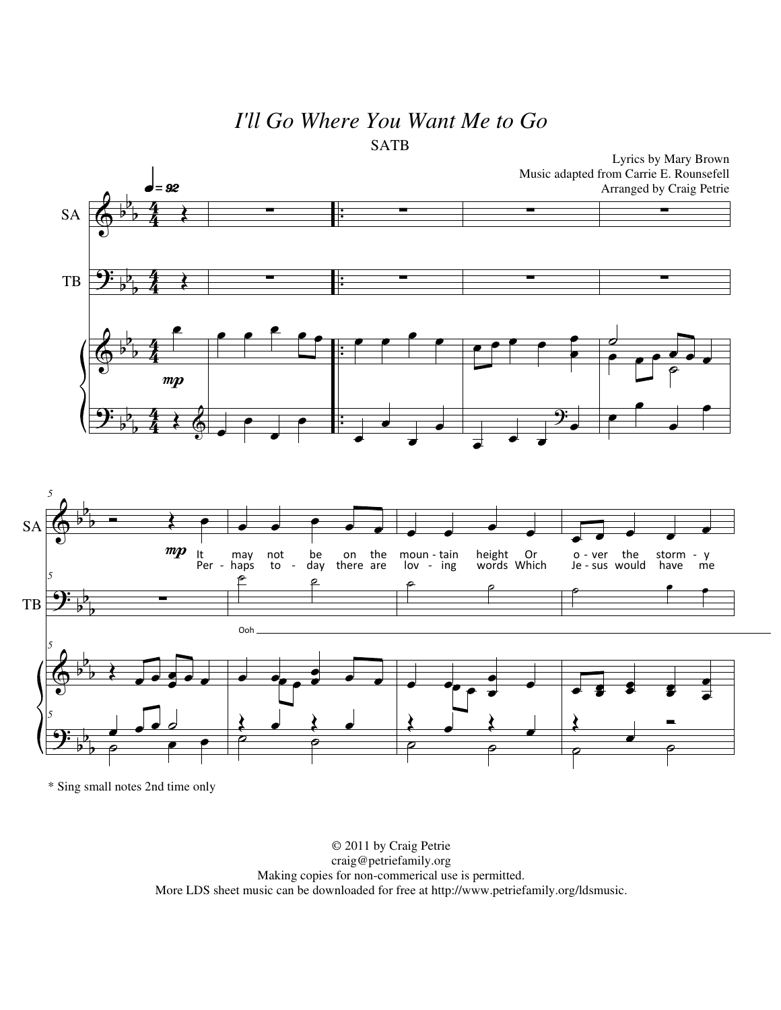## *I'll Go Where You Want Me to Go* SATB



\* Sing small notes 2nd time only

© 2011 by Craig Petrie craig@petriefamily.org Making copies for non-commerical use is permitted. More LDS sheet music can be downloaded for free at http://www.petriefamily.org/ldsmusic.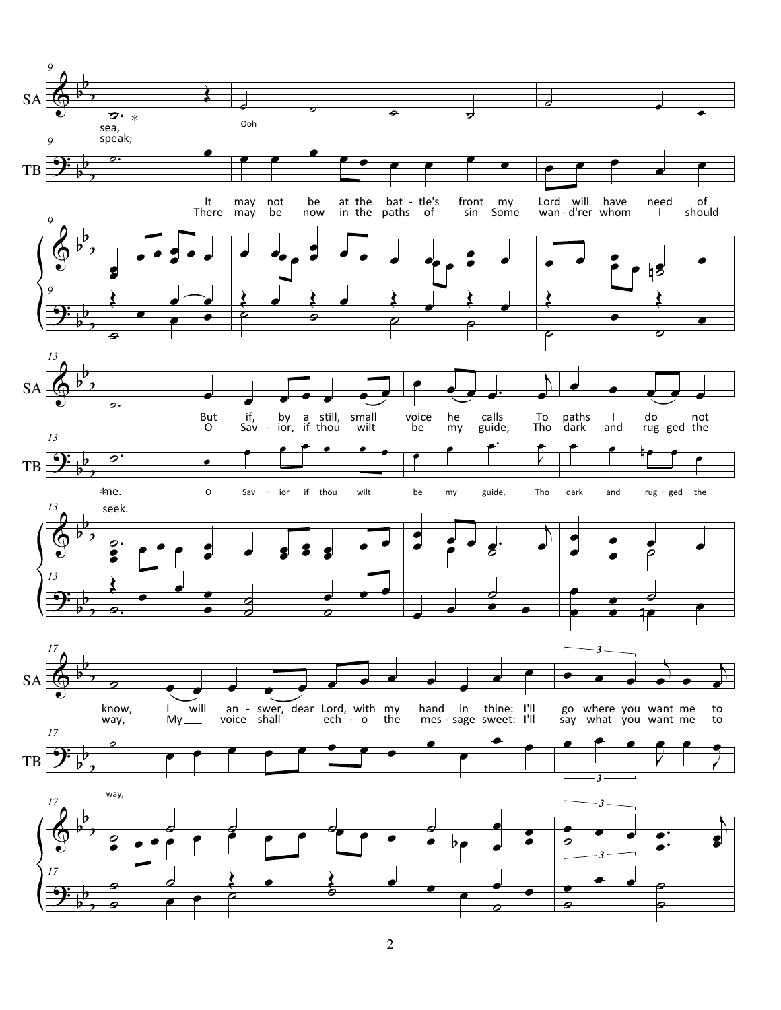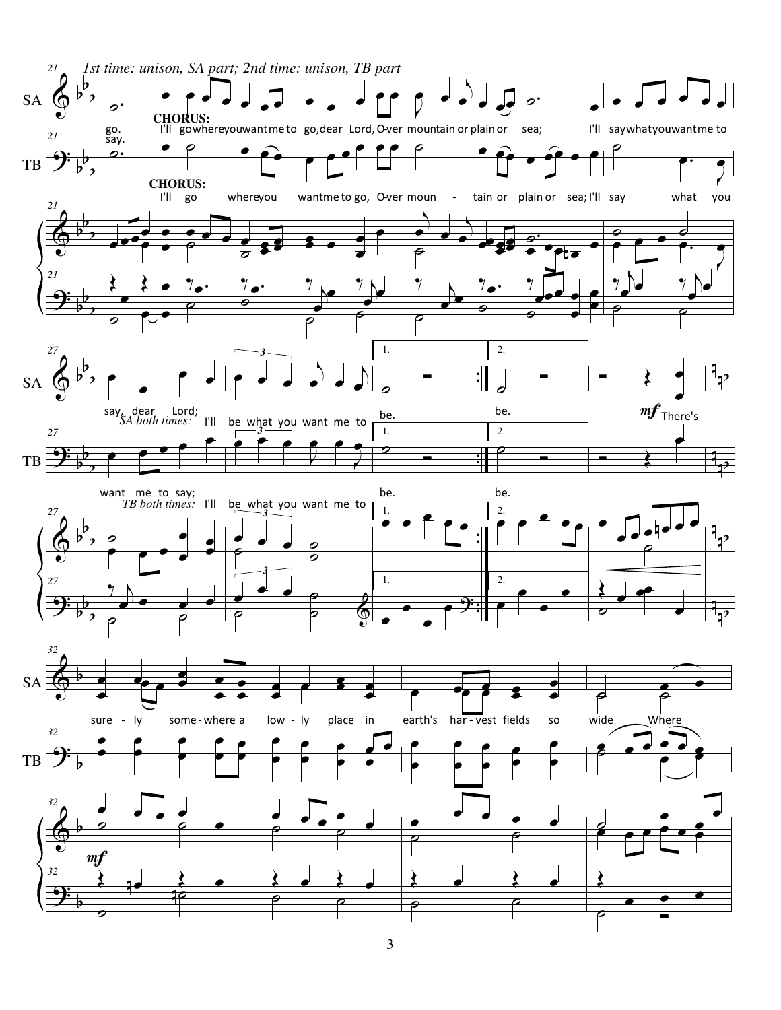

3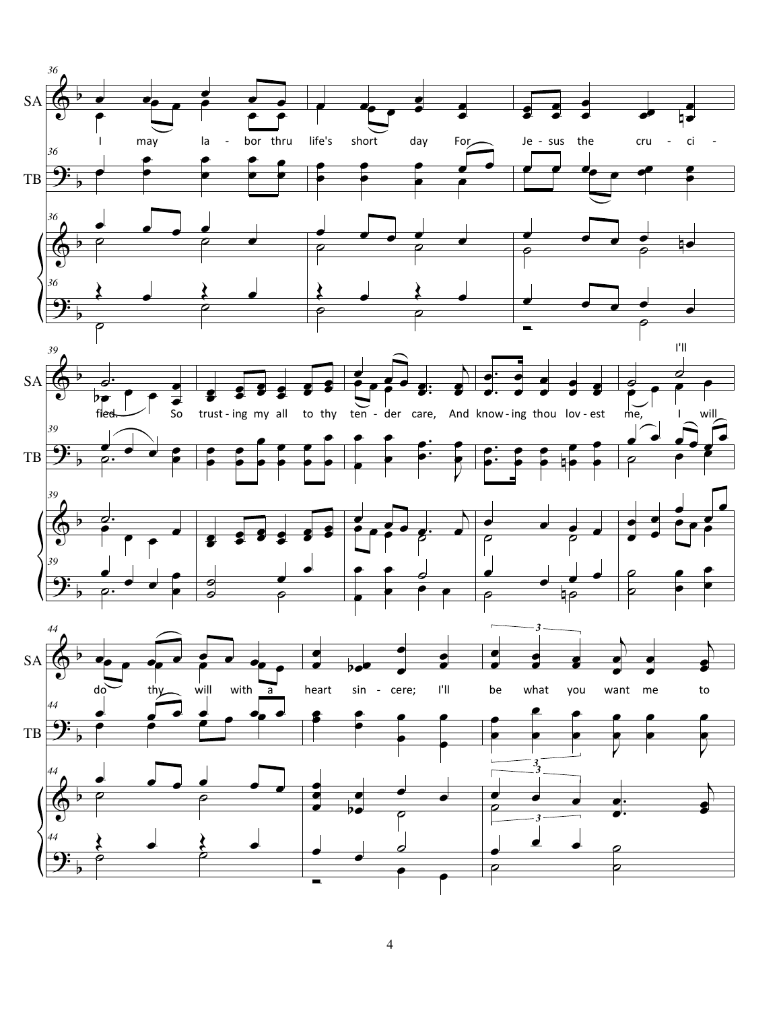